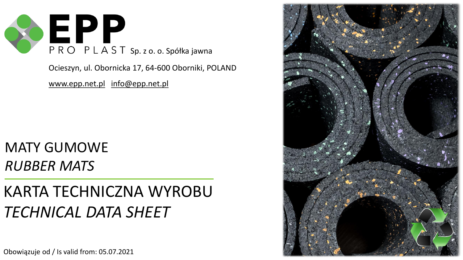

Ocieszyn, ul. Obornicka 17, 64-600 Oborniki, POLAND

[www.epp.net.pl](http://www.epp.net.pl/) info[@epp.net.pl](mailto:kontakt@rekoplast.pl)

## MATY GUMOWE *RUBBER MATS*

## KARTA TECHNICZNA WYROBU *TECHNICAL DATA SHEET*

Obowiązuje od / Is valid from: 05.07.2021

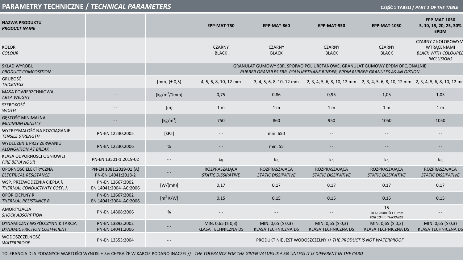| PARAMETRY TECHNICZNE / TECHNICAL PARAMETERS<br>CZĘŚĆ 1 TABELI / PART 1 OF THE TABLE |                                              |                                                        |                                                                                                                                                            |                                                       |                                                                                                              |                                                       |                                                                                                    |  |
|-------------------------------------------------------------------------------------|----------------------------------------------|--------------------------------------------------------|------------------------------------------------------------------------------------------------------------------------------------------------------------|-------------------------------------------------------|--------------------------------------------------------------------------------------------------------------|-------------------------------------------------------|----------------------------------------------------------------------------------------------------|--|
| <b>NAZWA PRODUKTU</b><br>PRODUCT NAME                                               |                                              |                                                        | EPP-MAT-750                                                                                                                                                | EPP-MAT-860                                           | EPP-MAT-950                                                                                                  | <b>EPP-MAT-1050</b>                                   | <b>EPP-MAT-1050</b><br>5, 10, 15, 20, 25, 30%<br><b>EPDM</b>                                       |  |
| KOLOR<br><b>COLOUR</b>                                                              |                                              |                                                        | <b>CZARNY</b><br><b>BLACK</b>                                                                                                                              | <b>CZARNY</b><br><b>BLACK</b>                         | <b>CZARNY</b><br><b>BLACK</b>                                                                                | <b>CZARNY</b><br><b>BLACK</b>                         | <b>CZARNY Z KOLOROWYM</b><br><b>WTRACENIAMI</b><br><b>BLACK WITH COLOUREL</b><br><b>INCLUSIONS</b> |  |
| SKŁAD WYROBU<br>PRODUCT COMPOSITION                                                 |                                              |                                                        | GRANULAT GUMOWY SBR, SPOIWO POLIURETANOWE, GRANULAT GUMOWY EPDM OPCJONALNIE<br>RUBBER GRANULES SBR, POLYURETHANE BINDER, EPDM RUBBER GRANULES AS AN OPTION |                                                       |                                                                                                              |                                                       |                                                                                                    |  |
| GRUBOŚĆ<br><b>THICKNESS</b>                                                         |                                              | $[mm]$ ( $\pm$ 0,5)                                    | 4, 5, 6, 8, 10, 12 mm                                                                                                                                      |                                                       | 3, 4, 5, 6, 8, 10, 12 mm 2, 3, 4, 5, 6, 8, 10, 12 mm 2, 3, 4, 5, 6, 8, 10, 12 mm 2, 3, 4, 5, 6, 8, 10, 12 mm |                                                       |                                                                                                    |  |
| <b>MASA POWIERZCHNIOWA</b><br>AREA WEIGHT                                           |                                              | $\left[\frac{\text{kg}}{\text{m}^2/1\text{mm}}\right]$ | 0,75                                                                                                                                                       | 0,86                                                  | 0,95                                                                                                         | 1,05                                                  | 1,05                                                                                               |  |
| SZEROKOŚĆ<br><b>WIDTH</b>                                                           |                                              | [m]                                                    | 1 <sub>m</sub>                                                                                                                                             | 1 <sub>m</sub>                                        | 1 <sub>m</sub>                                                                                               | 1 <sub>m</sub>                                        | 1 <sub>m</sub>                                                                                     |  |
| GĘSTOŚĆ MINIMALNA<br><b>MINIMUM DENSITY</b>                                         |                                              | [ $\text{kg/m}^3$ ]                                    | 750                                                                                                                                                        | 860                                                   | 950                                                                                                          | 1050                                                  | 1050                                                                                               |  |
| WYTRZYMAŁOŚĆ NA ROZCIĄGANIE<br><b>TENSILE STRENGTH</b>                              | PN-EN 12230:2005                             | [kPa]                                                  | $- -$                                                                                                                                                      | min. 650                                              | $- -$                                                                                                        |                                                       |                                                                                                    |  |
| WYDŁUŻENIE PRZY ZERWANIU<br><b>ALONGATION AT BREAK</b>                              | PN-EN 12230:2006                             | %                                                      |                                                                                                                                                            | min. 55                                               | - -                                                                                                          | $ -$                                                  |                                                                                                    |  |
| KLASA ODPORNOŚCI OGNIOWEJ<br><i>FIRE BEHAVIOUR</i>                                  | PN-EN 13501-1:2019-02                        | $- -$                                                  | $E_{\rm fl}$                                                                                                                                               | $E_{fL}$                                              | $E_{fL}$                                                                                                     | $E_{fL}$                                              | $E_{fL}$                                                                                           |  |
| OPORNOŚĆ ELEKTRYCZNA<br>ELECTRICAL RESISTANCE                                       | PN-EN 1081:2019-01 (A)<br>PN-EN 14041:2018-2 |                                                        | ROZPRASZAJĄCA<br><b>STATIC DISSIPATIVE</b>                                                                                                                 | ROZPRASZAJĄCA<br><b>STATIC DISSIPATIVE</b>            | ROZPRASZAJĄCA<br><b>STATIC DISSIPATIVE</b>                                                                   | ROZPRASZAJĄCA<br><b>STATIC DISSIPATIVE</b>            | ROZPRASZAJĄCA<br><b>STATIC DISSIPATIVE</b>                                                         |  |
| WSP. PRZEWODZENIA CIEPŁA λ<br>THERMAL CONDUCTIVITY COEF. λ                          | PN-EN 12667:2002<br>EN 14041:2004+AC:2006    | [W/(mK)]                                               | 0,17                                                                                                                                                       | 0,17                                                  | 0,17                                                                                                         | 0,17                                                  | 0,17                                                                                               |  |
| OPÓR CIEPLNY R<br>THERMAL RESISTANCE R                                              | PN-EN 12667:2002<br>EN 14041:2004+AC:2006    | $[m^2 K/W]$                                            | 0,15                                                                                                                                                       | 0,15                                                  | 0,15                                                                                                         | 0,15                                                  | 0,15                                                                                               |  |
| AMORTYZACJA<br><b>SHOCK ABSORPTION</b>                                              | PN-EN 14808:2006                             | %                                                      | $\frac{1}{2}$                                                                                                                                              |                                                       | $- -$                                                                                                        | 15<br>DLA GRUBOŚCI 10mm<br>FOR 10mm THICKNESS         |                                                                                                    |  |
| DYNAMICZNY WSPÓŁCZYNNIK TARCIA<br>DYNAMIC FRICTION COEFFICIENT                      | PN-EN 13893:2002<br>PN-EN 14041:2006         | $\frac{1}{2}$                                          | MIN. 0,65 ( $\geq$ 0,3)<br><b>KLASA TECHNICZNA DS</b>                                                                                                      | MIN. 0,65 ( $\geq$ 0,3)<br><b>KLASA TECHNICZNA DS</b> | MIN. 0,65 ( $\geq$ 0,3)<br>KLASA TECHNICZNA DS                                                               | MIN. 0,65 ( $\geq$ 0,3)<br><b>KLASA TECHNICZNA DS</b> | MIN. 0,65 ( $\geq$ 0,3)<br><b>KLASA TECHNICZNA DS</b>                                              |  |
| WODOSZCZELNOŚĆ<br><b>WATERPROOF</b>                                                 | PN-EN 13553:2004                             |                                                        | PRODUKT NIE JEST WODOSZCZELNY // THE PRODUCT IS NOT WATERPROOF                                                                                             |                                                       |                                                                                                              |                                                       |                                                                                                    |  |

TOLERANCJA DLA PODANYCH WARTOŚCI WYNOSI ± 5% CHYBA ŻE W KARCIE PODANO INACZEJ // *THE TOLERANCE FOR THE GIVEN VALUES IS ± 5% UNLESS IT IS DIFFERENT IN THE CARD*